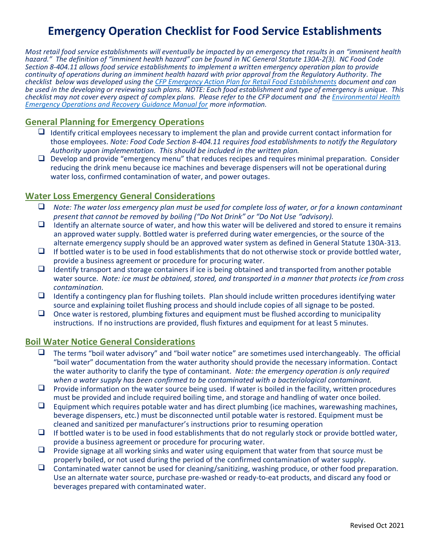# **Emergency Operation Checklist for Food Service Establishments**

*Most retail food service establishments will eventually be impacted by an emergency that results in an "imminent health hazard." The definition of "imminent health hazard" can be found in NC General Statute 130A-2(3). NC Food Code Section 8-404.11 allows food service establishments to implement a written emergency operation plan to provide continuity of operations during an imminent health hazard with prior approval from the Regulatory Authority. The checklist below was developed using th[e CFP Emergency Action Plan for Retail Food Establishments](http://www.foodprotect.org/media/guide/Emergency%20Action%20Plan%20for%20Retail%20food%20Est.pdf) document and can be used in the developing or reviewing such plans. NOTE: Each food establishment and type of emergency is unique. This checklist may not cover every aspect of complex plans. Please refer to the CFP document and th[e Environmental Health](https://ehs.ncpublichealth.com/faf/food/fd/docs/EH-PreparednessManual-Final.pdf)  [Emergency Operations and Recovery Guidance Manual for](https://ehs.ncpublichealth.com/faf/food/fd/docs/EH-PreparednessManual-Final.pdf) more information.*

### **General Planning for Emergency Operations**

- $\Box$  Identify critical employees necessary to implement the plan and provide current contact information for those employees. *Note: Food Code Section 8-404.11 requires food establishments to notify the Regulatory Authority upon implementation. This should be included in the written plan.*
- ❑ Develop and provide "emergency menu" that reduces recipes and requires minimal preparation. Consider reducing the drink menu because ice machines and beverage dispensers will not be operational during water loss, confirmed contamination of water, and power outages.

#### **Water Loss Emergency General Considerations**

- ❑ *Note: The water loss emergency plan must be used for complete loss of water, or for a known contaminant present that cannot be removed by boiling ("Do Not Drink" or "Do Not Use "advisory).*
- $\Box$  Identify an alternate source of water, and how this water will be delivered and stored to ensure it remains an approved water supply. Bottled water is preferred during water emergencies, or the source of the alternate emergency supply should be an approved water system as defined in General Statute 130A-313.
- $\Box$  If bottled water is to be used in food establishments that do not otherwise stock or provide bottled water, provide a business agreement or procedure for procuring water.
- $\Box$  Identify transport and storage containers if ice is being obtained and transported from another potable water source. *Note: ice must be obtained, stored, and transported in a manner that protects ice from cross contamination.*
- $\Box$  Identify a contingency plan for flushing toilets. Plan should include written procedures identifying water source and explaining toilet flushing process and should include copies of all signage to be posted.
- $\Box$  Once water is restored, plumbing fixtures and equipment must be flushed according to municipality instructions. If no instructions are provided, flush fixtures and equipment for at least 5 minutes.

#### **Boil Water Notice General Considerations**

- ❑ The terms "boil water advisory" and "boil water notice" are sometimes used interchangeably. The official "boil water" documentation from the water authority should provide the necessary information. Contact the water authority to clarify the type of contaminant. *Note: the emergency operation is only required when a water supply has been confirmed to be contaminated with a bacteriological contaminant.*
- $\Box$  Provide information on the water source being used. If water is boiled in the facility, written procedures must be provided and include required boiling time, and storage and handling of water once boiled.
- $\Box$  Equipment which requires potable water and has direct plumbing (ice machines, warewashing machines, beverage dispensers, etc.) must be disconnected until potable water is restored. Equipment must be cleaned and sanitized per manufacturer's instructions prior to resuming operation
- $\Box$  If bottled water is to be used in food establishments that do not regularly stock or provide bottled water, provide a business agreement or procedure for procuring water.
- $\Box$  Provide signage at all working sinks and water using equipment that water from that source must be properly boiled, or not used during the period of the confirmed contamination of water supply.
- $\Box$  Contaminated water cannot be used for cleaning/sanitizing, washing produce, or other food preparation. Use an alternate water source, purchase pre-washed or ready-to-eat products, and discard any food or beverages prepared with contaminated water.